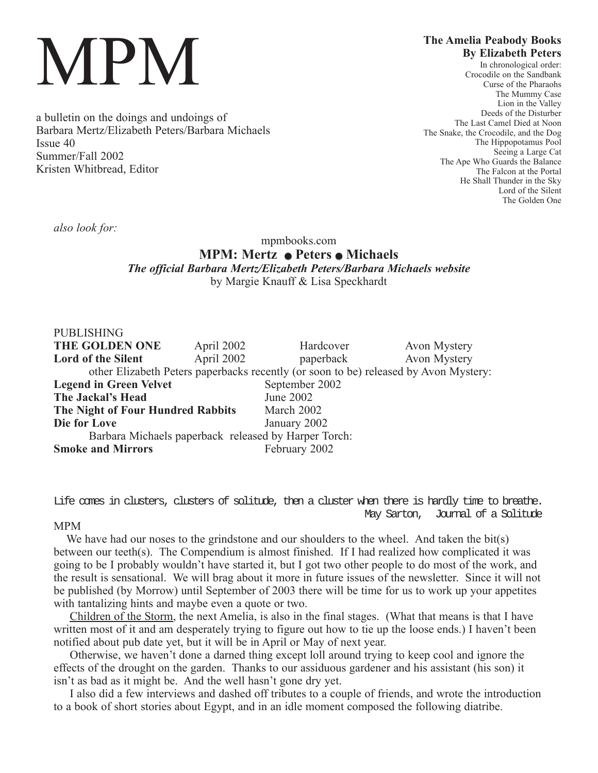# MPM

a bulletin on the doings and undoings of Barbara Mertz/Elizabeth Peters/Barbara Michaels Issue 40 Summer/Fall 2002 Kristen Whitbread, Editor

# **The Amelia Peabody Books By Elizabeth Peters**

In chronological order: Crocodile on the Sandbank Curse of the Pharaohs The Mummy Case Lion in the Valley Deeds of the Disturber The Last Camel Died at Noon The Snake, the Crocodile, and the Dog The Hippopotamus Pool Seeing a Large Cat The Ape Who Guards the Balance The Falcon at the Portal He Shall Thunder in the Sky Lord of the Silent The Golden One

*also look for:*

## mpmbooks.com **MPM: Mertz • Peters • Michaels** *The official Barbara Mertz/Elizabeth Peters/Barbara Michaels website* by Margie Knauff & Lisa Speckhardt

| <b>PUBLISHING</b>                                                                    |            |                |              |
|--------------------------------------------------------------------------------------|------------|----------------|--------------|
| THE GOLDEN ONE                                                                       | April 2002 | Hardcover      | Avon Mystery |
| <b>Lord of the Silent</b>                                                            | April 2002 | paperback      | Avon Mystery |
| other Elizabeth Peters paperbacks recently (or soon to be) released by Avon Mystery: |            |                |              |
| <b>Legend in Green Velvet</b>                                                        |            | September 2002 |              |
| The Jackal's Head                                                                    |            | June 2002      |              |
| The Night of Four Hundred Rabbits                                                    |            | March 2002     |              |
| Die for Love                                                                         |            | January 2002   |              |
| Barbara Michaels paperback released by Harper Torch:                                 |            |                |              |
| <b>Smoke and Mirrors</b>                                                             |            | February 2002  |              |

Life comes in clusters, clusters of solitude, then a cluster when there is hardly time to breathe. May Sarton, Journal of a Solitude

### MPM

We have had our noses to the grindstone and our shoulders to the wheel. And taken the bit(s) between our teeth(s). The Compendium is almost finished. If I had realized how complicated it was going to be I probably wouldn't have started it, but I got two other people to do most of the work, and the result is sensational. We will brag about it more in future issues of the newsletter. Since it will not be published (by Morrow) until September of 2003 there will be time for us to work up your appetites with tantalizing hints and maybe even a quote or two.

Children of the Storm, the next Amelia, is also in the final stages. (What that means is that I have written most of it and am desperately trying to figure out how to tie up the loose ends.) I haven't been notified about pub date yet, but it will be in April or May of next year.

Otherwise, we haven't done a darned thing except loll around trying to keep cool and ignore the effects of the drought on the garden. Thanks to our assiduous gardener and his assistant (his son) it isn't as bad as it might be. And the well hasn't gone dry yet.

I also did a few interviews and dashed off tributes to a couple of friends, and wrote the introduction to a book of short stories about Egypt, and in an idle moment composed the following diatribe.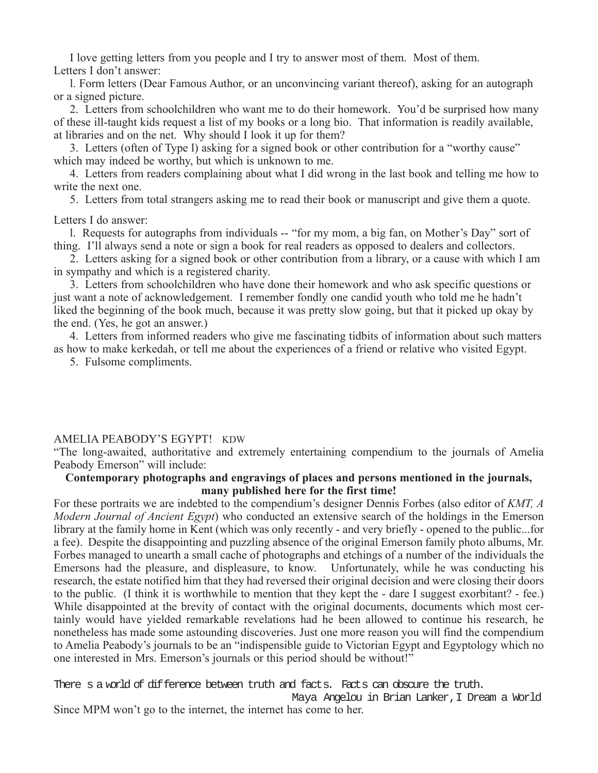I love getting letters from you people and I try to answer most of them. Most of them. Letters I don't answer:

l. Form letters (Dear Famous Author, or an unconvincing variant thereof), asking for an autograph or a signed picture.

2. Letters from schoolchildren who want me to do their homework. You'd be surprised how many of these ill-taught kids request a list of my books or a long bio. That information is readily available, at libraries and on the net. Why should I look it up for them?

3. Letters (often of Type l) asking for a signed book or other contribution for a "worthy cause" which may indeed be worthy, but which is unknown to me.

4. Letters from readers complaining about what I did wrong in the last book and telling me how to write the next one.

5. Letters from total strangers asking me to read their book or manuscript and give them a quote.

Letters I do answer:

l. Requests for autographs from individuals -- "for my mom, a big fan, on Mother's Day" sort of thing. I'll always send a note or sign a book for real readers as opposed to dealers and collectors.

2. Letters asking for a signed book or other contribution from a library, or a cause with which I am in sympathy and which is a registered charity.

3. Letters from schoolchildren who have done their homework and who ask specific questions or just want a note of acknowledgement. I remember fondly one candid youth who told me he hadn't liked the beginning of the book much, because it was pretty slow going, but that it picked up okay by the end. (Yes, he got an answer.)

4. Letters from informed readers who give me fascinating tidbits of information about such matters as how to make kerkedah, or tell me about the experiences of a friend or relative who visited Egypt.

5. Fulsome compliments.

### AMELIA PEABODY'S EGYPT! KDW

"The long-awaited, authoritative and extremely entertaining compendium to the journals of Amelia Peabody Emerson" will include:

### **Contemporary photographs and engravings of places and persons mentioned in the journals, many published here for the first time!**

For these portraits we are indebted to the compendium's designer Dennis Forbes (also editor of *KMT, A Modern Journal of Ancient Egypt*) who conducted an extensive search of the holdings in the Emerson library at the family home in Kent (which was only recently - and very briefly - opened to the public...for a fee). Despite the disappointing and puzzling absence of the original Emerson family photo albums, Mr. Forbes managed to unearth a small cache of photographs and etchings of a number of the individuals the Emersons had the pleasure, and displeasure, to know. Unfortunately, while he was conducting his research, the estate notified him that they had reversed their original decision and were closing their doors to the public. (I think it is worthwhile to mention that they kept the - dare I suggest exorbitant? - fee.) While disappointed at the brevity of contact with the original documents, documents which most certainly would have yielded remarkable revelations had he been allowed to continue his research, he nonetheless has made some astounding discoveries. Just one more reason you will find the compendium to Amelia Peabody's journals to be an "indispensible guide to Victorian Egypt and Egyptology which no one interested in Mrs. Emerson's journals or this period should be without!"

There s a world of difference between truth and facts. Facts can obscure the truth.

Maya Angelou in Brian Lanker,I Dream a World Since MPM won't go to the internet, the internet has come to her.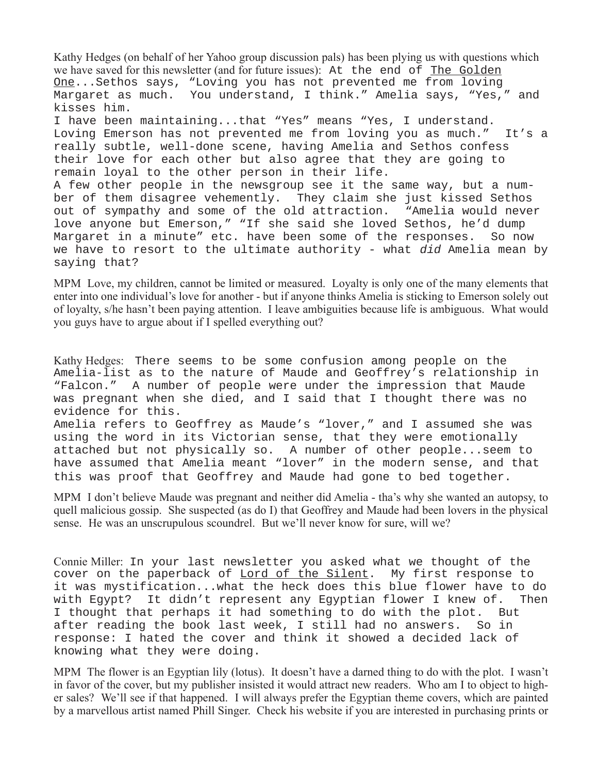Kathy Hedges (on behalf of her Yahoo group discussion pals) has been plying us with questions which we have saved for this newsletter (and for future issues): At the end of The Golden One...Sethos says, "Loving you has not prevented me from loving Margaret as much. You understand, I think." Amelia says, "Yes," and kisses him. I have been maintaining...that "Yes" means "Yes, I understand. Loving Emerson has not prevented me from loving you as much." It's a really subtle, well-done scene, having Amelia and Sethos confess their love for each other but also agree that they are going to remain loyal to the other person in their life. A few other people in the newsgroup see it the same way, but a number of them disagree vehemently. They claim she just kissed Sethos out of sympathy and some of the old attraction. "Amelia would never love anyone but Emerson," "If she said she loved Sethos, he'd dump Margaret in a minute" etc. have been some of the responses. So now we have to resort to the ultimate authority - what did Amelia mean by saying that?

MPM Love, my children, cannot be limited or measured. Loyalty is only one of the many elements that enter into one individual's love for another - but if anyone thinks Amelia is sticking to Emerson solely out of loyalty, s/he hasn't been paying attention. I leave ambiguities because life is ambiguous. What would you guys have to argue about if I spelled everything out?

Kathy Hedges: There seems to be some confusion among people on the Amelia-list as to the nature of Maude and Geoffrey's relationship in "Falcon." A number of people were under the impression that Maude was pregnant when she died, and I said that I thought there was no evidence for this.

Amelia refers to Geoffrey as Maude's "lover," and I assumed she was using the word in its Victorian sense, that they were emotionally attached but not physically so. A number of other people...seem to have assumed that Amelia meant "lover" in the modern sense, and that this was proof that Geoffrey and Maude had gone to bed together.

MPM I don't believe Maude was pregnant and neither did Amelia - tha's why she wanted an autopsy, to quell malicious gossip. She suspected (as do I) that Geoffrey and Maude had been lovers in the physical sense. He was an unscrupulous scoundrel. But we'll never know for sure, will we?

Connie Miller: In your last newsletter you asked what we thought of the cover on the paperback of Lord of the Silent. My first response to it was mystification...what the heck does this blue flower have to do with Egypt? It didn't represent any Egyptian flower I knew of. Then I thought that perhaps it had something to do with the plot. But after reading the book last week, I still had no answers. So in response: I hated the cover and think it showed a decided lack of knowing what they were doing.

MPM The flower is an Egyptian lily (lotus). It doesn't have a darned thing to do with the plot. I wasn't in favor of the cover, but my publisher insisted it would attract new readers. Who am I to object to higher sales? We'll see if that happened. I will always prefer the Egyptian theme covers, which are painted by a marvellous artist named Phill Singer. Check his website if you are interested in purchasing prints or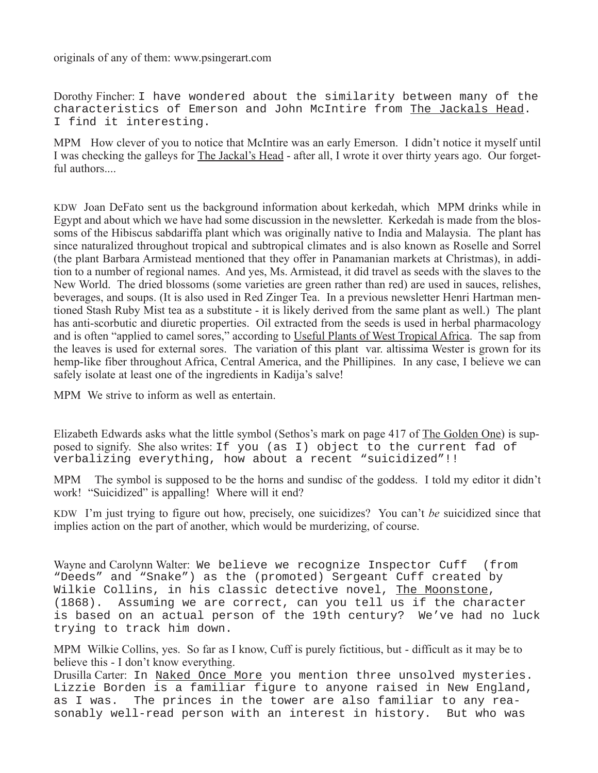originals of any of them: www.psingerart.com

Dorothy Fincher: I have wondered about the similarity between many of the characteristics of Emerson and John McIntire from The Jackals Head. I find it interesting.

MPM How clever of you to notice that McIntire was an early Emerson. I didn't notice it myself until I was checking the galleys for The Jackal's Head - after all, I wrote it over thirty years ago. Our forgetful authors.

KDW Joan DeFato sent us the background information about kerkedah, which MPM drinks while in Egypt and about which we have had some discussion in the newsletter. Kerkedah is made from the blossoms of the Hibiscus sabdariffa plant which was originally native to India and Malaysia. The plant has since naturalized throughout tropical and subtropical climates and is also known as Roselle and Sorrel (the plant Barbara Armistead mentioned that they offer in Panamanian markets at Christmas), in addition to a number of regional names. And yes, Ms. Armistead, it did travel as seeds with the slaves to the New World. The dried blossoms (some varieties are green rather than red) are used in sauces, relishes, beverages, and soups. (It is also used in Red Zinger Tea. In a previous newsletter Henri Hartman mentioned Stash Ruby Mist tea as a substitute - it is likely derived from the same plant as well.) The plant has anti-scorbutic and diuretic properties. Oil extracted from the seeds is used in herbal pharmacology and is often "applied to camel sores," according to Useful Plants of West Tropical Africa. The sap from the leaves is used for external sores. The variation of this plant var. altissima Wester is grown for its hemp-like fiber throughout Africa, Central America, and the Phillipines. In any case, I believe we can safely isolate at least one of the ingredients in Kadija's salve!

MPM We strive to inform as well as entertain.

Elizabeth Edwards asks what the little symbol (Sethos's mark on page 417 of The Golden One) is supposed to signify. She also writes: If you (as I) object to the current fad of verbalizing everything, how about a recent "suicidized"!!

MPM The symbol is supposed to be the horns and sundisc of the goddess. I told my editor it didn't work! "Suicidized" is appalling! Where will it end?

KDW I'm just trying to figure out how, precisely, one suicidizes? You can't *be* suicidized since that implies action on the part of another, which would be murderizing, of course.

Wayne and Carolynn Walter: We believe we recognize Inspector Cuff (from "Deeds" and "Snake") as the (promoted) Sergeant Cuff created by Wilkie Collins, in his classic detective novel, The Moonstone, (1868). Assuming we are correct, can you tell us if the character is based on an actual person of the 19th century? We've had no luck trying to track him down.

MPM Wilkie Collins, yes. So far as I know, Cuff is purely fictitious, but - difficult as it may be to believe this - I don't know everything.

Drusilla Carter: In Naked Once More you mention three unsolved mysteries. Lizzie Borden is a familiar figure to anyone raised in New England, as I was. The princes in the tower are also familiar to any reasonably well-read person with an interest in history. But who was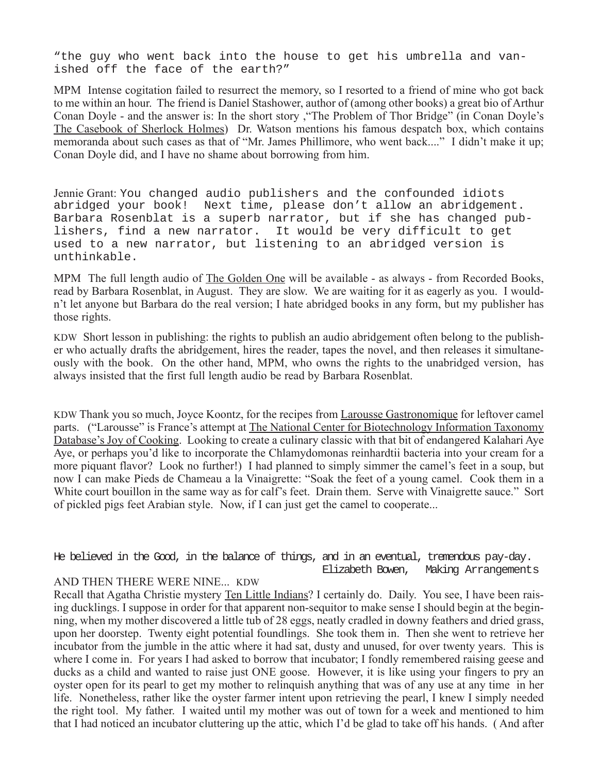"the guy who went back into the house to get his umbrella and vanished off the face of the earth?"

MPM Intense cogitation failed to resurrect the memory, so I resorted to a friend of mine who got back to me within an hour. The friend is Daniel Stashower, author of (among other books) a great bio of Arthur Conan Doyle - and the answer is: In the short story ,"The Problem of Thor Bridge" (in Conan Doyle's The Casebook of Sherlock Holmes) Dr. Watson mentions his famous despatch box, which contains memoranda about such cases as that of "Mr. James Phillimore, who went back...." I didn't make it up; Conan Doyle did, and I have no shame about borrowing from him.

Jennie Grant: You changed audio publishers and the confounded idiots abridged your book! Next time, please don't allow an abridgement. Barbara Rosenblat is a superb narrator, but if she has changed publishers, find a new narrator. It would be very difficult to get used to a new narrator, but listening to an abridged version is unthinkable.

MPM The full length audio of The Golden One will be available - as always - from Recorded Books, read by Barbara Rosenblat, in August. They are slow. We are waiting for it as eagerly as you. I wouldn't let anyone but Barbara do the real version; I hate abridged books in any form, but my publisher has those rights.

KDW Short lesson in publishing: the rights to publish an audio abridgement often belong to the publisher who actually drafts the abridgement, hires the reader, tapes the novel, and then releases it simultaneously with the book. On the other hand, MPM, who owns the rights to the unabridged version, has always insisted that the first full length audio be read by Barbara Rosenblat.

KDW Thank you so much, Joyce Koontz, for the recipes from Larousse Gastronomique for leftover camel parts. ("Larousse" is France's attempt at The National Center for Biotechnology Information Taxonomy Database's Joy of Cooking. Looking to create a culinary classic with that bit of endangered Kalahari Aye Aye, or perhaps you'd like to incorporate the Chlamydomonas reinhardtii bacteria into your cream for a more piquant flavor? Look no further!) I had planned to simply simmer the camel's feet in a soup, but now I can make Pieds de Chameau a la Vinaigrette: "Soak the feet of a young camel. Cook them in a White court bouillon in the same way as for calf's feet. Drain them. Serve with Vinaigrette sauce." Sort of pickled pigs feet Arabian style. Now, if I can just get the camel to cooperate...

He believed in the Good, in the balance of things, and in an eventual, tremendous pay-day. Elizabeth Bowen, Making Arrangements

### AND THEN THERE WERE NINE... KDW

Recall that Agatha Christie mystery Ten Little Indians? I certainly do. Daily. You see, I have been raising ducklings. I suppose in order for that apparent non-sequitor to make sense I should begin at the beginning, when my mother discovered a little tub of 28 eggs, neatly cradled in downy feathers and dried grass, upon her doorstep. Twenty eight potential foundlings. She took them in. Then she went to retrieve her incubator from the jumble in the attic where it had sat, dusty and unused, for over twenty years. This is where I come in. For years I had asked to borrow that incubator; I fondly remembered raising geese and ducks as a child and wanted to raise just ONE goose. However, it is like using your fingers to pry an oyster open for its pearl to get my mother to relinquish anything that was of any use at any time in her life. Nonetheless, rather like the oyster farmer intent upon retrieving the pearl, I knew I simply needed the right tool. My father. I waited until my mother was out of town for a week and mentioned to him that I had noticed an incubator cluttering up the attic, which I'd be glad to take off his hands. ( And after